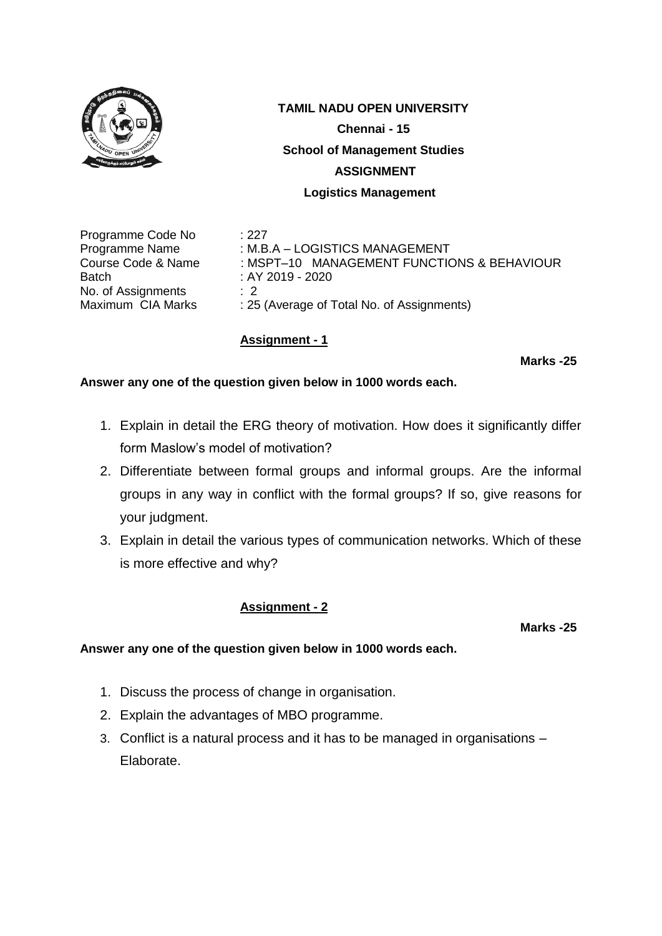

Programme Code No : 227 Batch : AY 2019 - 2020 No. of Assignments : 2<br>Maximum CIA Marks : 25

Programme Name : M.B.A – LOGISTICS MANAGEMENT Course Code & Name : MSPT–10 MANAGEMENT FUNCTIONS & BEHAVIOUR : 25 (Average of Total No. of Assignments)

# **Assignment - 1**

**Marks -25**

### **Answer any one of the question given below in 1000 words each.**

- 1. Explain in detail the ERG theory of motivation. How does it significantly differ form Maslow's model of motivation?
- 2. Differentiate between formal groups and informal groups. Are the informal groups in any way in conflict with the formal groups? If so, give reasons for your judgment.
- 3. Explain in detail the various types of communication networks. Which of these is more effective and why?

## **Assignment - 2**

**Marks -25**

- 1. Discuss the process of change in organisation.
- 2. Explain the advantages of MBO programme.
- 3. Conflict is a natural process and it has to be managed in organisations Elaborate.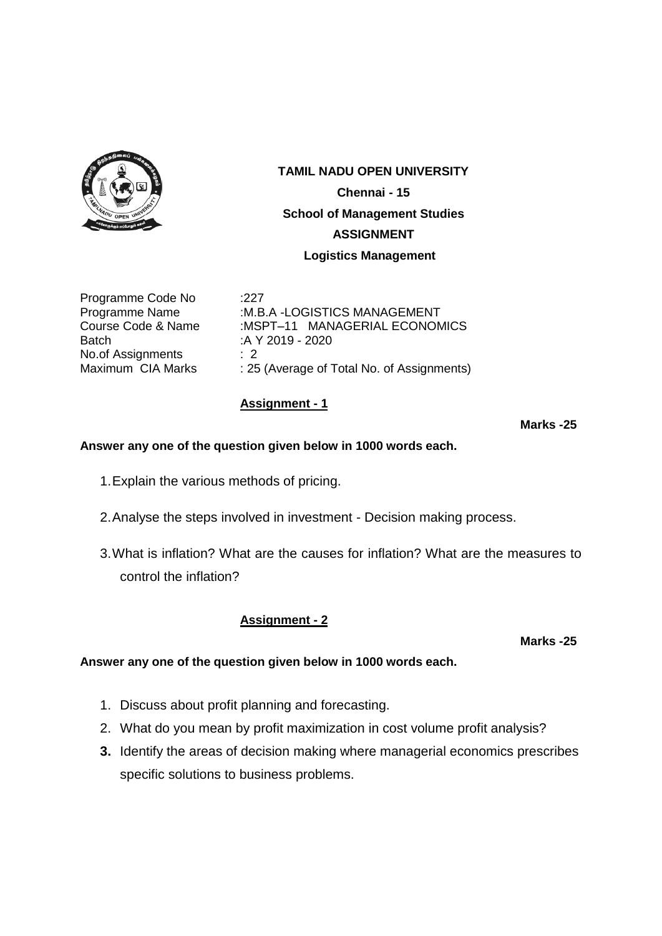

Programme Code No :227 Batch :A Y 2019 - 2020 No.of Assignments : 2

Programme Name :M.B.A -LOGISTICS MANAGEMENT Course Code & Name :MSPT-11 MANAGERIAL ECONOMICS Maximum CIA Marks : 25 (Average of Total No. of Assignments)

# **Assignment - 1**

**Marks -25**

### **Answer any one of the question given below in 1000 words each.**

- 1.Explain the various methods of pricing.
- 2.Analyse the steps involved in investment Decision making process.
- 3.What is inflation? What are the causes for inflation? What are the measures to control the inflation?

## **Assignment - 2**

**Marks -25**

- 1. Discuss about profit planning and forecasting.
- 2. What do you mean by profit maximization in cost volume profit analysis?
- **3.** Identify the areas of decision making where managerial economics prescribes specific solutions to business problems.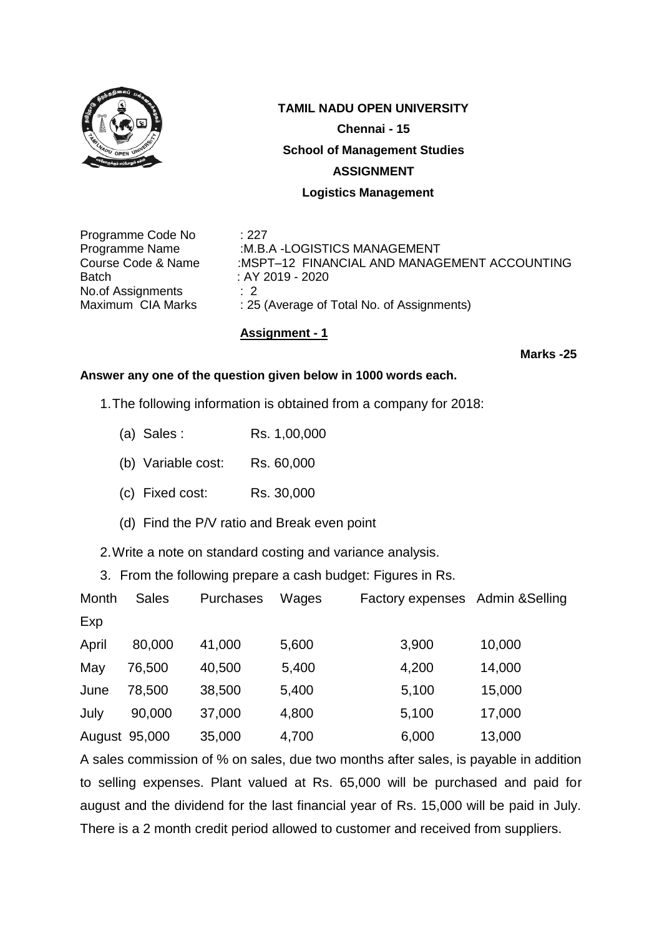

**TAMIL NADU OPEN UNIVERSITY Chennai - 15 School of Management Studies ASSIGNMENT**

 **Logistics Management**

Programme Code No : 227 Batch : AY 2019 - 2020 No.of Assignments : 2

Programme Name :M.B.A -LOGISTICS MANAGEMENT Course Code & Name :MSPT–12 FINANCIAL AND MANAGEMENT ACCOUNTING Maximum CIA Marks : 25 (Average of Total No. of Assignments)

## **Assignment - 1**

**Marks -25**

### **Answer any one of the question given below in 1000 words each.**

1.The following information is obtained from a company for 2018:

- (a) Sales : Rs. 1,00,000
- (b) Variable cost: Rs. 60,000
- (c) Fixed cost: Rs. 30,000
- (d) Find the P/V ratio and Break even point

2.Write a note on standard costing and variance analysis.

3. From the following prepare a cash budget: Figures in Rs.

| Month | <b>Sales</b>  | Purchases | Wages | Factory expenses Admin & Selling |        |
|-------|---------------|-----------|-------|----------------------------------|--------|
| Exp   |               |           |       |                                  |        |
| April | 80,000        | 41,000    | 5,600 | 3,900                            | 10,000 |
| May   | 76,500        | 40,500    | 5,400 | 4,200                            | 14,000 |
| June  | 78,500        | 38,500    | 5,400 | 5,100                            | 15,000 |
| July  | 90,000        | 37,000    | 4,800 | 5,100                            | 17,000 |
|       | August 95,000 | 35,000    | 4,700 | 6,000                            | 13,000 |

A sales commission of % on sales, due two months after sales, is payable in addition to selling expenses. Plant valued at Rs. 65,000 will be purchased and paid for august and the dividend for the last financial year of Rs. 15,000 will be paid in July. There is a 2 month credit period allowed to customer and received from suppliers.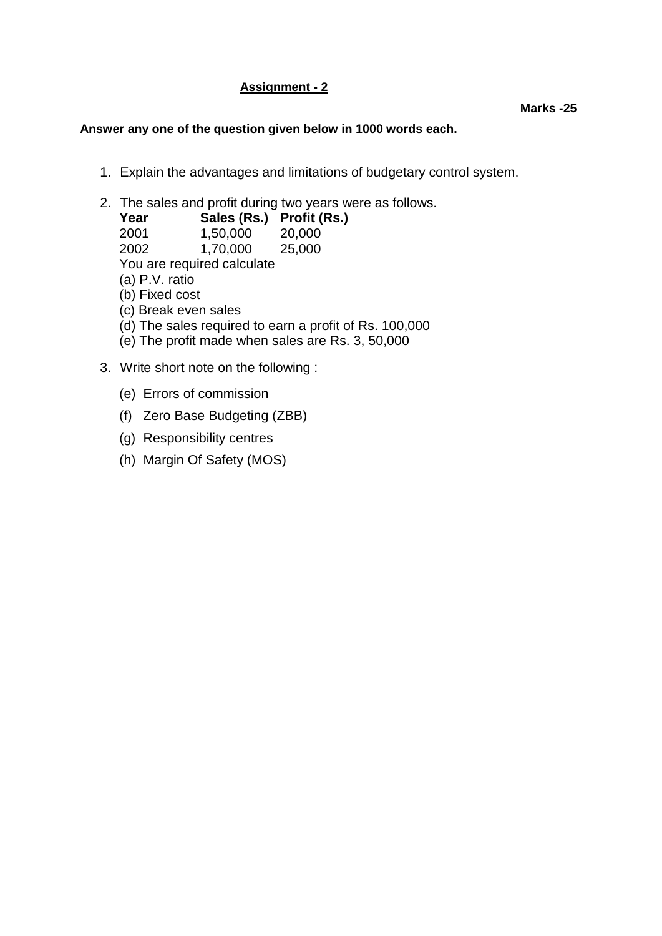# **Assignment - 2**

- 1. Explain the advantages and limitations of budgetary control system.
- 2. The sales and profit during two years were as follows.

|                                                        | 20,000                               |  |  |  |  |  |
|--------------------------------------------------------|--------------------------------------|--|--|--|--|--|
| 1,70,000 25,000                                        |                                      |  |  |  |  |  |
| You are required calculate                             |                                      |  |  |  |  |  |
| (a) P.V. ratio                                         |                                      |  |  |  |  |  |
| (b) Fixed cost                                         |                                      |  |  |  |  |  |
| (c) Break even sales                                   |                                      |  |  |  |  |  |
| (d) The sales required to earn a profit of Rs. 100,000 |                                      |  |  |  |  |  |
| (e) The profit made when sales are Rs. 3, 50,000       |                                      |  |  |  |  |  |
|                                                        | Sales (Rs.) Profit (Rs.)<br>1,50,000 |  |  |  |  |  |

- 3. Write short note on the following :
	- (e) Errors of commission
	- (f) Zero Base Budgeting (ZBB)
	- (g) Responsibility centres
	- (h) Margin Of Safety (MOS)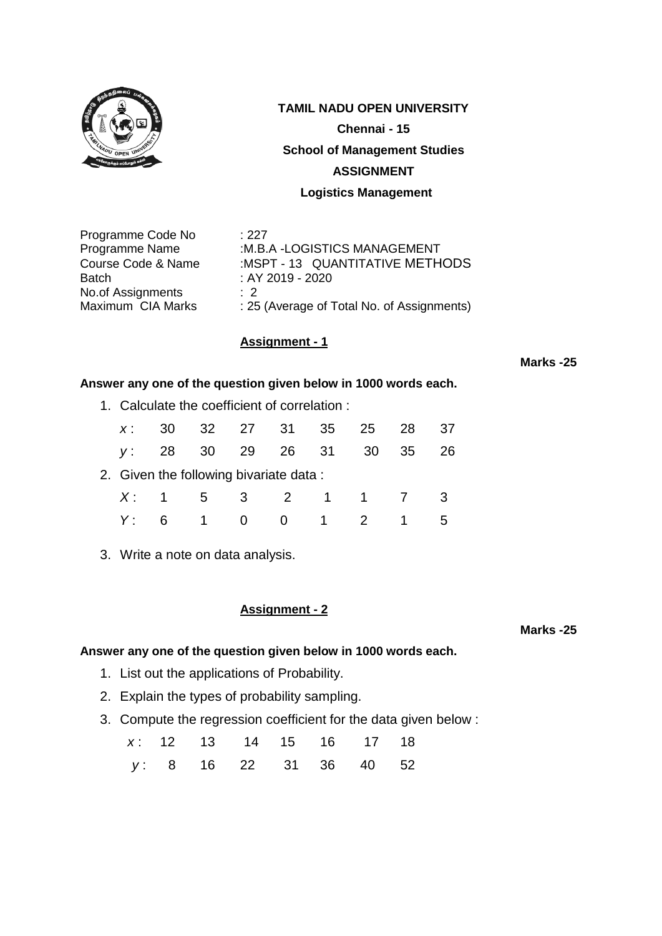

**TAMIL NADU OPEN UNIVERSITY**

**Chennai - 15**

**School of Management Studies**

### **ASSIGNMENT**

 **Logistics Management**

Programme Code No : 227 Batch : AY 2019 - 2020 No.of Assignments : 2

Programme Name :M.B.A -LOGISTICS MANAGEMENT Course Code & Name :MSPT - 13 QUANTITATIVE METHODS Maximum CIA Marks : 25 (Average of Total No. of Assignments)

## **Assignment - 1**

**Marks -25**

### **Answer any one of the question given below in 1000 words each.**

1. Calculate the coefficient of correlation :

| $X$ :                                  |    |  | 30 32 27 31 35 25 28 37 |  |  |  |      |     |
|----------------------------------------|----|--|-------------------------|--|--|--|------|-----|
|                                        |    |  | y: 28 30 29 26 31 30    |  |  |  | - 35 | -26 |
| 2. Given the following bivariate data: |    |  |                         |  |  |  |      |     |
|                                        |    |  | X: 1 5 3 2 1 1 7        |  |  |  |      |     |
| Y:                                     | 6. |  | 1 0 0 1 2 1             |  |  |  |      | -5  |

3. Write a note on data analysis.

### **Assignment - 2**

**Marks -25**

- 1. List out the applications of Probability.
- 2. Explain the types of probability sampling.
- 3. Compute the regression coefficient for the data given below :

|  |  |  | x: 12 13 14 15 16 17 18 |  |
|--|--|--|-------------------------|--|
|  |  |  | y: 8 16 22 31 36 40 52  |  |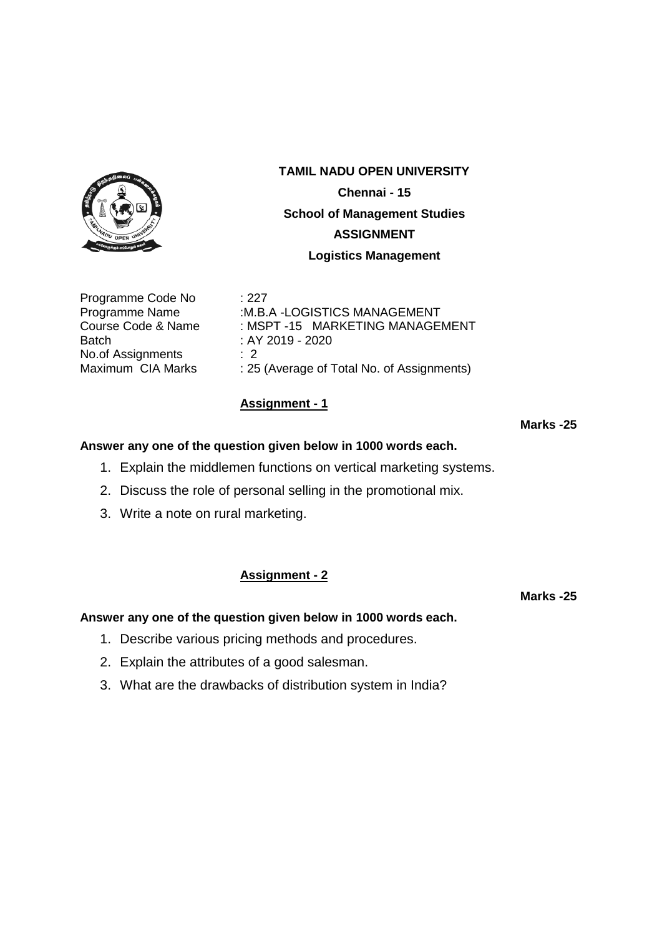

Programme Code No : 227 Batch : AY 2019 - 2020 No.of Assignments : 2

**TAMIL NADU OPEN UNIVERSITY Chennai - 15 School of Management Studies ASSIGNMENT Logistics Management**

Programme Name :M.B.A -LOGISTICS MANAGEMENT Course Code & Name : MSPT -15 MARKETING MANAGEMENT Maximum CIA Marks : 25 (Average of Total No. of Assignments)

# **Assignment - 1**

**Marks -25**

### **Answer any one of the question given below in 1000 words each.**

- 1. Explain the middlemen functions on vertical marketing systems.
- 2. Discuss the role of personal selling in the promotional mix.
- 3. Write a note on rural marketing.

## **Assignment - 2**

### **Answer any one of the question given below in 1000 words each.**

- 1. Describe various pricing methods and procedures.
- 2. Explain the attributes of a good salesman.
- 3. What are the drawbacks of distribution system in India?

**Marks -25**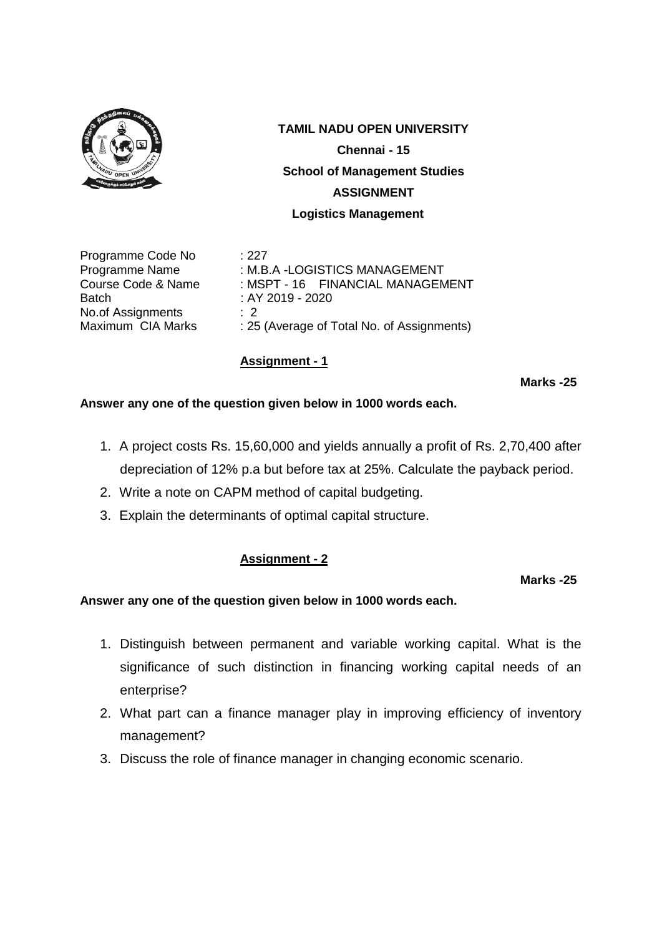

Programme Code No : 227 Batch : AY 2019 - 2020 No.of Assignments : 2

Programme Name : M.B.A -LOGISTICS MANAGEMENT Course Code & Name : MSPT - 16 FINANCIAL MANAGEMENT Maximum CIA Marks : 25 (Average of Total No. of Assignments)

# **Assignment - 1**

**Marks -25**

# **Answer any one of the question given below in 1000 words each.**

- 1. A project costs Rs. 15,60,000 and yields annually a profit of Rs. 2,70,400 after depreciation of 12% p.a but before tax at 25%. Calculate the payback period.
- 2. Write a note on CAPM method of capital budgeting.
- 3. Explain the determinants of optimal capital structure.

# **Assignment - 2**

### **Marks -25**

- 1. Distinguish between permanent and variable working capital. What is the significance of such distinction in financing working capital needs of an enterprise?
- 2. What part can a finance manager play in improving efficiency of inventory management?
- 3. Discuss the role of finance manager in changing economic scenario.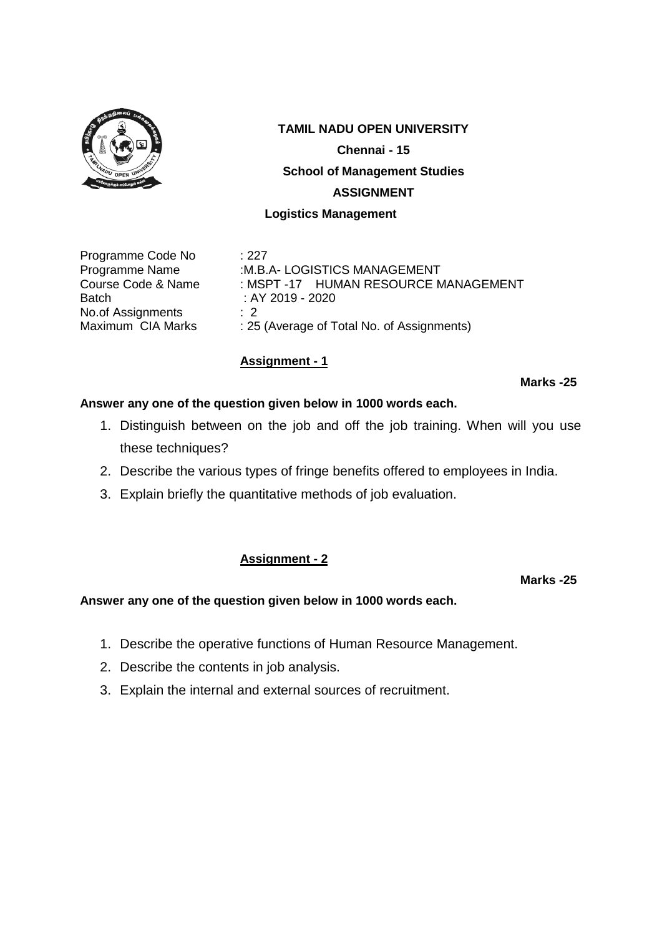

Programme Code No : 227 Batch : AY 2019 - 2020 No.of Assignments : 2

Programme Name :M.B.A- LOGISTICS MANAGEMENT Course Code & Name : MSPT -17 HUMAN RESOURCE MANAGEMENT Maximum CIA Marks : 25 (Average of Total No. of Assignments)

# **Assignment - 1**

**Marks -25**

# **Answer any one of the question given below in 1000 words each.**

- 1. Distinguish between on the job and off the job training. When will you use these techniques?
- 2. Describe the various types of fringe benefits offered to employees in India.
- 3. Explain briefly the quantitative methods of job evaluation.

## **Assignment - 2**

**Marks -25**

- 1. Describe the operative functions of Human Resource Management.
- 2. Describe the contents in job analysis.
- 3. Explain the internal and external sources of recruitment.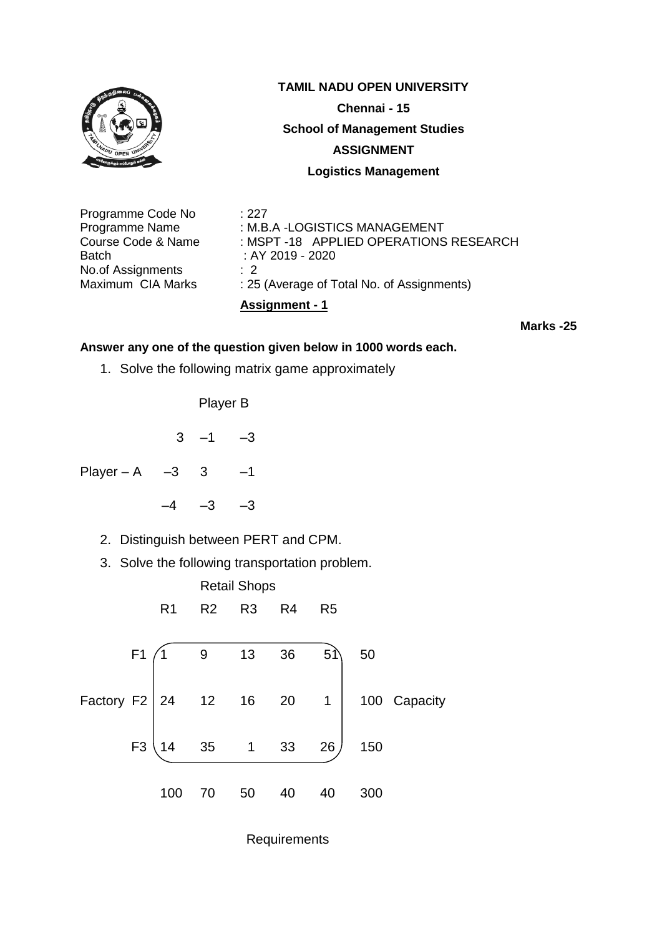

No.of Assignments : 2

Maximum CIA Marks : 25 (Average of Total No. of Assignments)

**Assignment - 1**

**Marks -25**

# **Answer any one of the question given below in 1000 words each.**

1. Solve the following matrix game approximately

Player B

$$
3 -1 -3
$$

Player – A – 3 3 – 1

- $-4$   $-3$   $-3$ 
	- 2. Distinguish between PERT and CPM.
	- 3. Solve the following transportation problem.



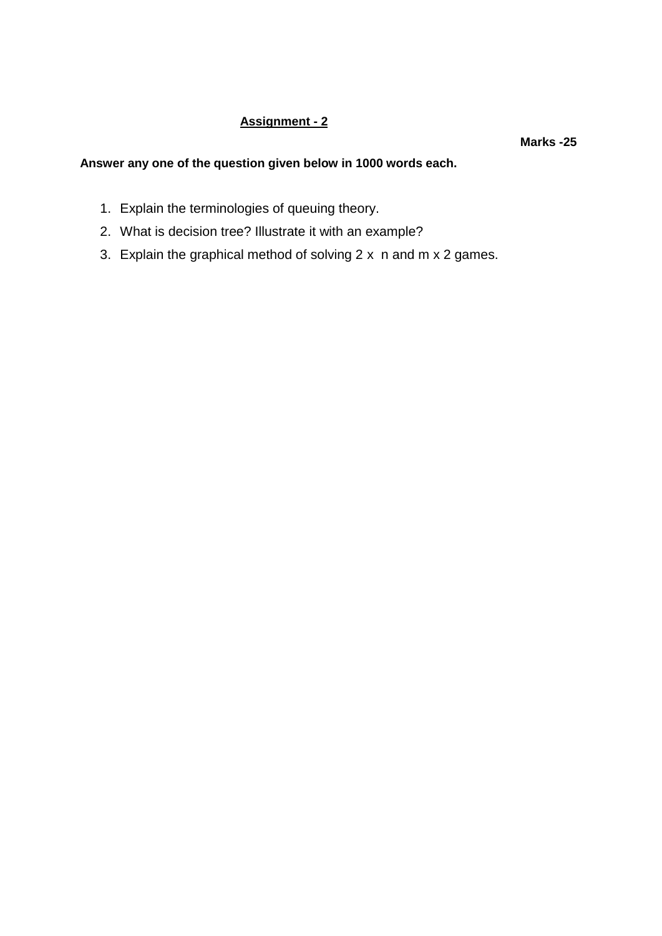# **Assignment - 2**

**Marks -25**

- 1. Explain the terminologies of queuing theory.
- 2. What is decision tree? Illustrate it with an example?
- 3. Explain the graphical method of solving 2 x n and m x 2 games.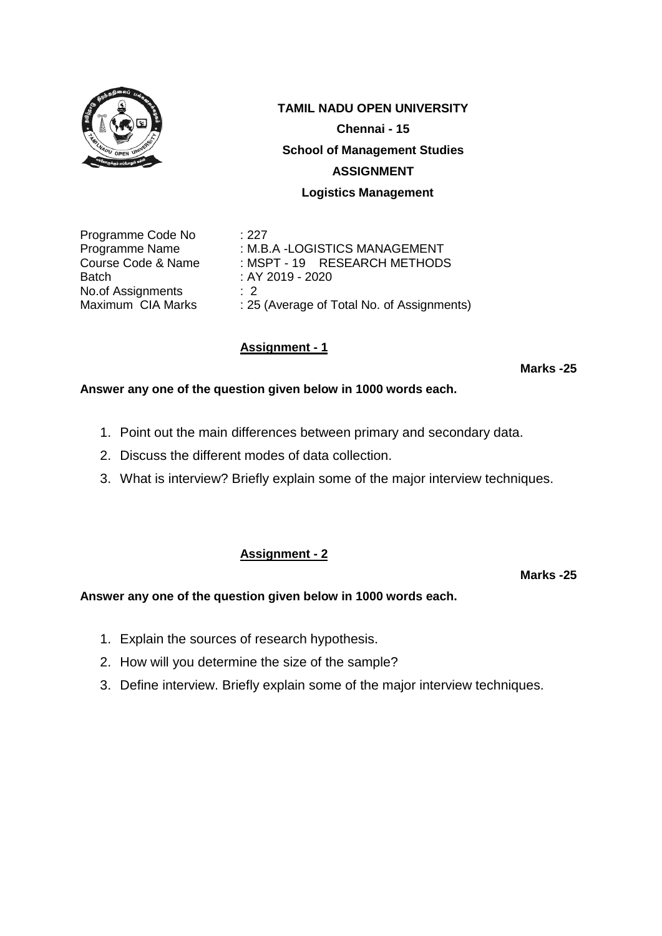

Programme Code No : 227 Batch : AY 2019 - 2020 No.of Assignments : 2<br>Maximum CIA Marks : 25

Programme Name : M.B.A -LOGISTICS MANAGEMENT Course Code & Name : MSPT - 19 RESEARCH METHODS : 25 (Average of Total No. of Assignments)

# **Assignment - 1**

**Marks -25**

# **Answer any one of the question given below in 1000 words each.**

- 1. Point out the main differences between primary and secondary data.
- 2. Discuss the different modes of data collection.
- 3. What is interview? Briefly explain some of the major interview techniques.

## **Assignment - 2**

**Marks -25**

- 1. Explain the sources of research hypothesis.
- 2. How will you determine the size of the sample?
- 3. Define interview. Briefly explain some of the major interview techniques.